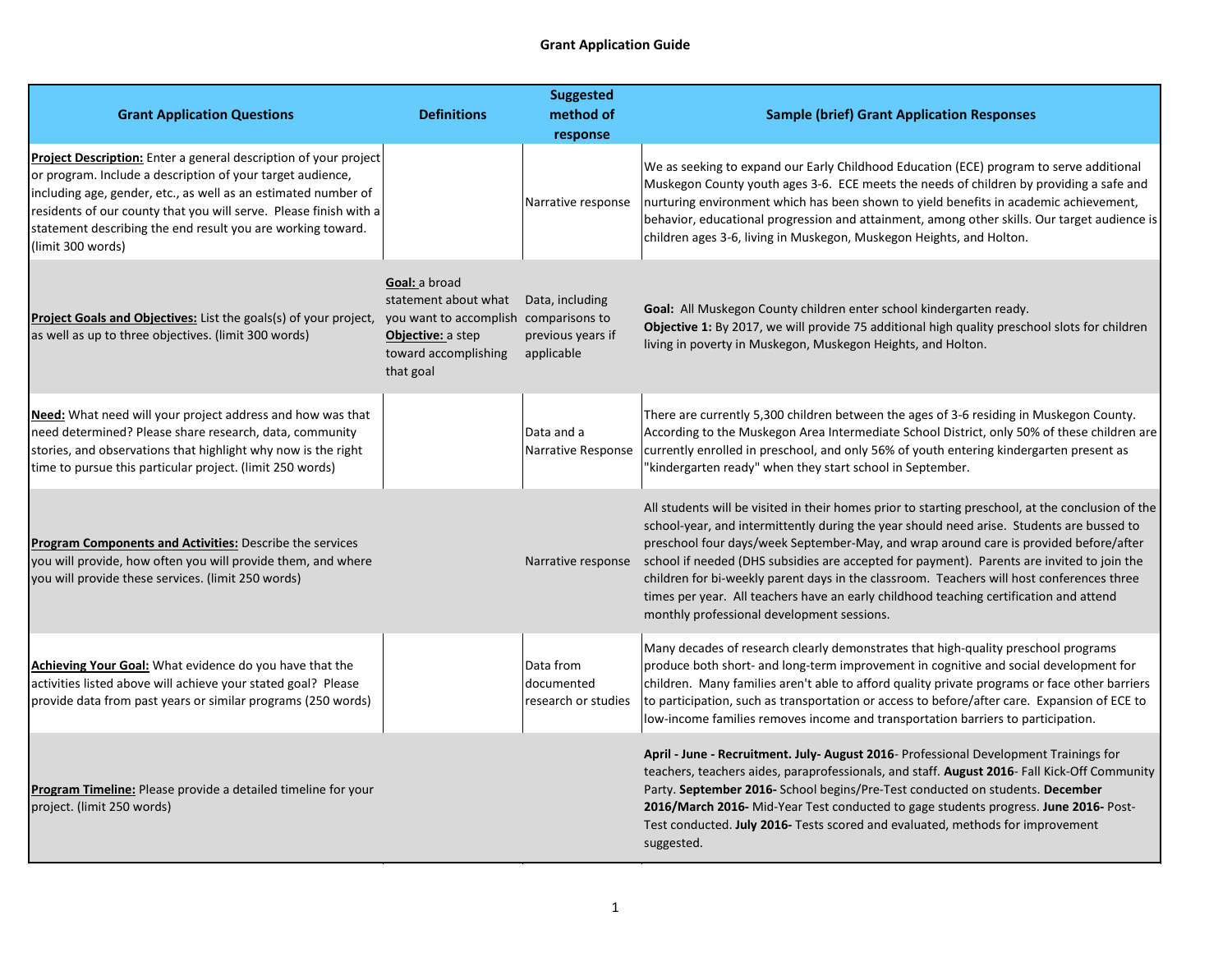## **Grant Application Guide**

| <b>Grant Application Questions</b>                                                                                                                                                                                                                                                                                                                        | <b>Definitions</b>                                                                                                                       | <b>Suggested</b><br>method of<br>response          | <b>Sample (brief) Grant Application Responses</b>                                                                                                                                                                                                                                                                                                                                                                                                                                                                                                                                                                          |
|-----------------------------------------------------------------------------------------------------------------------------------------------------------------------------------------------------------------------------------------------------------------------------------------------------------------------------------------------------------|------------------------------------------------------------------------------------------------------------------------------------------|----------------------------------------------------|----------------------------------------------------------------------------------------------------------------------------------------------------------------------------------------------------------------------------------------------------------------------------------------------------------------------------------------------------------------------------------------------------------------------------------------------------------------------------------------------------------------------------------------------------------------------------------------------------------------------------|
| Project Description: Enter a general description of your project<br>or program. Include a description of your target audience,<br>including age, gender, etc., as well as an estimated number of<br>residents of our county that you will serve. Please finish with a<br>statement describing the end result you are working toward.<br>(limit 300 words) |                                                                                                                                          | Narrative response                                 | We as seeking to expand our Early Childhood Education (ECE) program to serve additional<br>Muskegon County youth ages 3-6. ECE meets the needs of children by providing a safe and<br>nurturing environment which has been shown to yield benefits in academic achievement,<br>behavior, educational progression and attainment, among other skills. Our target audience is<br>children ages 3-6, living in Muskegon, Muskegon Heights, and Holton.                                                                                                                                                                        |
| <b>Project Goals and Objectives:</b> List the goals(s) of your project,<br>as well as up to three objectives. (limit 300 words)                                                                                                                                                                                                                           | Goal: a broad<br>statement about what<br>you want to accomplish comparisons to<br>Objective: a step<br>toward accomplishing<br>that goal | Data, including<br>previous years if<br>applicable | Goal: All Muskegon County children enter school kindergarten ready.<br>Objective 1: By 2017, we will provide 75 additional high quality preschool slots for children<br>living in poverty in Muskegon, Muskegon Heights, and Holton.                                                                                                                                                                                                                                                                                                                                                                                       |
| <b>Need:</b> What need will your project address and how was that<br>need determined? Please share research, data, community<br>stories, and observations that highlight why now is the right<br>time to pursue this particular project. (limit 250 words)                                                                                                |                                                                                                                                          | Data and a<br>Narrative Response                   | There are currently 5,300 children between the ages of 3-6 residing in Muskegon County.<br>According to the Muskegon Area Intermediate School District, only 50% of these children are<br>currently enrolled in preschool, and only 56% of youth entering kindergarten present as<br>"kindergarten ready" when they start school in September.                                                                                                                                                                                                                                                                             |
| Program Components and Activities: Describe the services<br>you will provide, how often you will provide them, and where<br>you will provide these services. (limit 250 words)                                                                                                                                                                            |                                                                                                                                          | Narrative response                                 | All students will be visited in their homes prior to starting preschool, at the conclusion of the<br>school-year, and intermittently during the year should need arise. Students are bussed to<br>preschool four days/week September-May, and wrap around care is provided before/after<br>school if needed (DHS subsidies are accepted for payment). Parents are invited to join the<br>children for bi-weekly parent days in the classroom. Teachers will host conferences three<br>times per year. All teachers have an early childhood teaching certification and attend<br>monthly professional development sessions. |
| Achieving Your Goal: What evidence do you have that the<br>activities listed above will achieve your stated goal? Please<br>provide data from past years or similar programs (250 words)                                                                                                                                                                  |                                                                                                                                          | Data from<br>documented<br>research or studies     | Many decades of research clearly demonstrates that high-quality preschool programs<br>produce both short- and long-term improvement in cognitive and social development for<br>children. Many families aren't able to afford quality private programs or face other barriers<br>to participation, such as transportation or access to before/after care. Expansion of ECE to<br>low-income families removes income and transportation barriers to participation.                                                                                                                                                           |
| <b>Program Timeline:</b> Please provide a detailed timeline for your<br>project. (limit 250 words)                                                                                                                                                                                                                                                        |                                                                                                                                          |                                                    | April - June - Recruitment. July- August 2016- Professional Development Trainings for<br>teachers, teachers aides, paraprofessionals, and staff. August 2016- Fall Kick-Off Community<br>Party. September 2016- School begins/Pre-Test conducted on students. December<br>2016/March 2016- Mid-Year Test conducted to gage students progress. June 2016- Post-<br>Test conducted. July 2016- Tests scored and evaluated, methods for improvement<br>suggested.                                                                                                                                                             |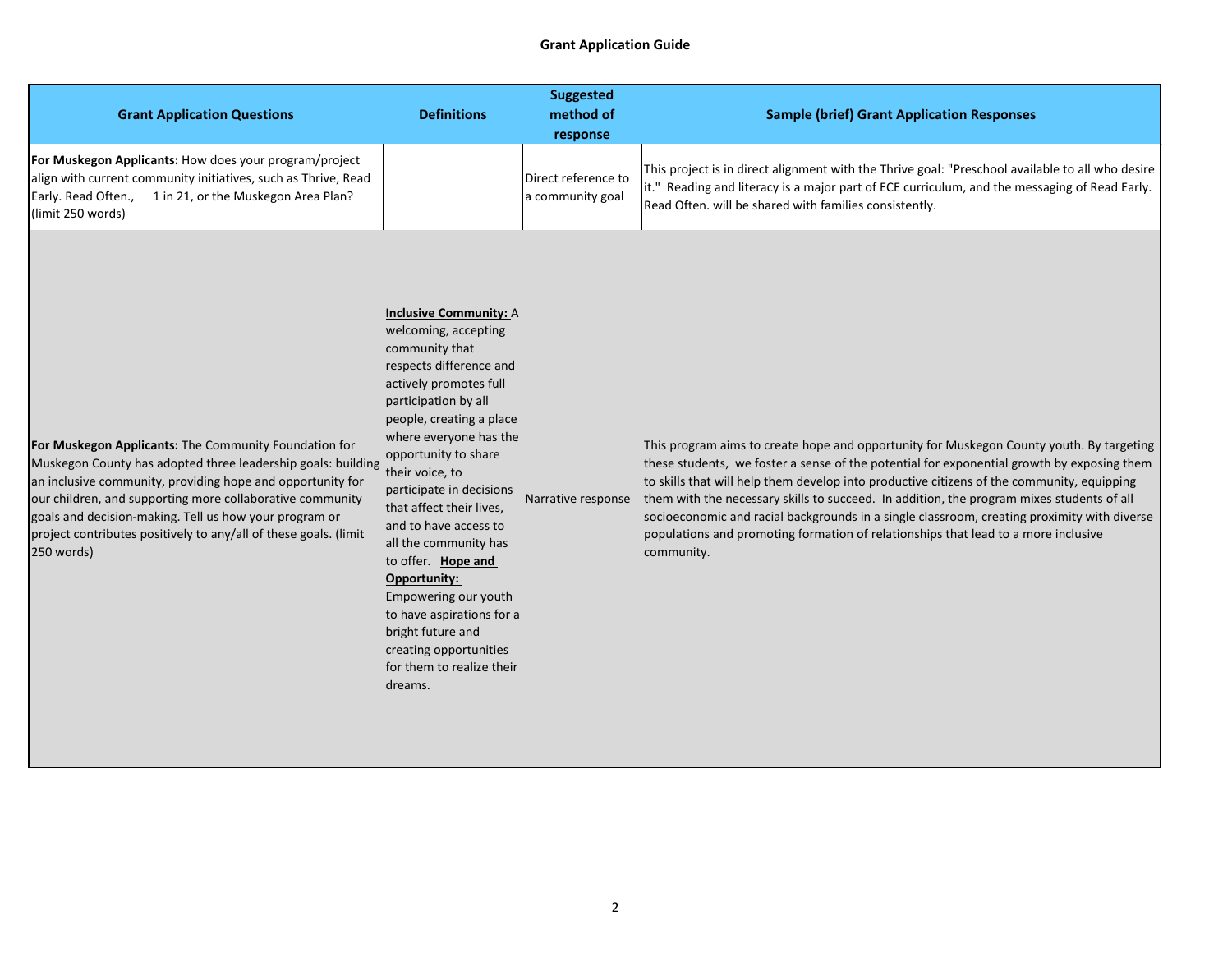## **Grant Application Guide**

| <b>Grant Application Questions</b>                                                                                                                                                                                                                                                                                                                                                           | <b>Definitions</b>                                                                                                                                                                                                                                                                                                                                                                                                                                                                                                                                | <b>Suggested</b><br>method of           | <b>Sample (brief) Grant Application Responses</b>                                                                                                                                                                                                                                                                                                                                                                                                                                                                                                                                    |
|----------------------------------------------------------------------------------------------------------------------------------------------------------------------------------------------------------------------------------------------------------------------------------------------------------------------------------------------------------------------------------------------|---------------------------------------------------------------------------------------------------------------------------------------------------------------------------------------------------------------------------------------------------------------------------------------------------------------------------------------------------------------------------------------------------------------------------------------------------------------------------------------------------------------------------------------------------|-----------------------------------------|--------------------------------------------------------------------------------------------------------------------------------------------------------------------------------------------------------------------------------------------------------------------------------------------------------------------------------------------------------------------------------------------------------------------------------------------------------------------------------------------------------------------------------------------------------------------------------------|
|                                                                                                                                                                                                                                                                                                                                                                                              |                                                                                                                                                                                                                                                                                                                                                                                                                                                                                                                                                   | response                                |                                                                                                                                                                                                                                                                                                                                                                                                                                                                                                                                                                                      |
| For Muskegon Applicants: How does your program/project<br>align with current community initiatives, such as Thrive, Read<br>Early. Read Often.,<br>1 in 21, or the Muskegon Area Plan?<br>(limit 250 words)                                                                                                                                                                                  |                                                                                                                                                                                                                                                                                                                                                                                                                                                                                                                                                   | Direct reference to<br>a community goal | This project is in direct alignment with the Thrive goal: "Preschool available to all who desire<br>it." Reading and literacy is a major part of ECE curriculum, and the messaging of Read Early.<br>Read Often. will be shared with families consistently.                                                                                                                                                                                                                                                                                                                          |
| For Muskegon Applicants: The Community Foundation for<br>Muskegon County has adopted three leadership goals: building<br>an inclusive community, providing hope and opportunity for<br>our children, and supporting more collaborative community<br>goals and decision-making. Tell us how your program or<br>project contributes positively to any/all of these goals. (limit<br>250 words) | <b>Inclusive Community: A</b><br>welcoming, accepting<br>community that<br>respects difference and<br>actively promotes full<br>participation by all<br>people, creating a place<br>where everyone has the<br>opportunity to share<br>their voice, to<br>participate in decisions<br>that affect their lives,<br>and to have access to<br>all the community has<br>to offer. Hope and<br>Opportunity:<br>Empowering our youth<br>to have aspirations for a<br>bright future and<br>creating opportunities<br>for them to realize their<br>dreams. | Narrative response                      | This program aims to create hope and opportunity for Muskegon County youth. By targeting<br>these students, we foster a sense of the potential for exponential growth by exposing them<br>to skills that will help them develop into productive citizens of the community, equipping<br>them with the necessary skills to succeed. In addition, the program mixes students of all<br>socioeconomic and racial backgrounds in a single classroom, creating proximity with diverse<br>populations and promoting formation of relationships that lead to a more inclusive<br>community. |